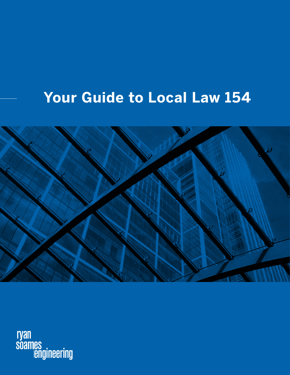# **Your Guide to Local Law 154**



ryan<br>soames<br>engineering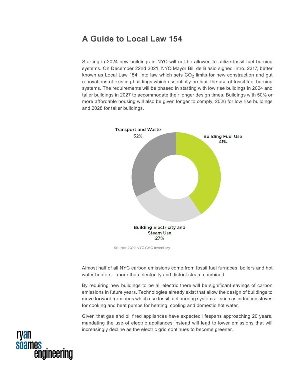## **A Guide to Local Law 154**

Starting in 2024 new buildings in NYC will not be allowed to utilize fossil fuel burning systems. On December 22nd 2021, NYC Mayor Bill de Blasio signed Intro. 2317, better known as Local Law 154, into law which sets  $CO<sub>2</sub>$  limits for new construction and gut renovations of existing buildings which essentially prohibit the use of fossil fuel burning systems. The requirements will be phased in starting with low rise buildings in 2024 and taller buildings in 2027 to accommodate their longer design times. Buildings with 50% or more affordable housing will also be given longer to comply, 2026 for low rise buildings and 2028 for taller buildings.



Source: 2019 NYC GHG Inventory

Almost half of all NYC carbon emissions come from fossil fuel furnaces, boilers and hot water heaters – more than electricity and district steam combined.

By requiring new buildings to be all electric there will be significant savings of carbon emissions in future years. Technologies already exist that allow the design of buildings to move forward from ones which use fossil fuel burning systems – such as induction stoves for cooking and heat pumps for heating, cooling and domestic hot water.

Given that gas and oil fired appliances have expected lifespans approaching 20 years, mandating the use of electric appliances instead will lead to lower emissions that will increasingly decline as the electric grid continues to become greener.

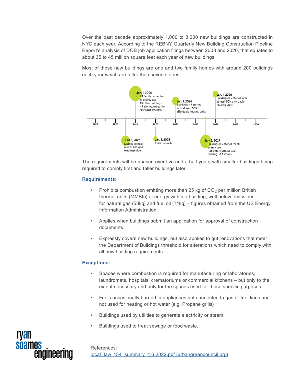Over the past decade approximately 1,000 to 3,000 new buildings are constructed in NYC each year. According to the REBNY Quarterly New Building Construction Pipeline Report's analysis of DOB job application filings between 2008 and 2020, that equates to about 35 to 45 million square feet each year of new buildings.

Most of those new buildings are one and two family homes with around 200 buildings each year which are taller than seven stories.



The requirements will be phased over five and a half years with smaller buildings being required to comply first and taller buildings later.

#### **Requirements:**

- Prohibits combustion emitting more than 25 kg of  $CO<sub>2</sub>$  per million British thermal units (MMBtu) of energy within a building, well below emissions for natural gas (53kg) and fuel oil (74kg) – figures obtained from the US Energy Information Administration.
- Applies when buildings submit an application for approval of construction documents.
- Expressly covers new buildings, but also applies to gut renovations that meet the Department of Buildings threshold for alterations which need to comply with all new building requirements.

#### **Exceptions:**

- Spaces where combustion is required for manufacturing or laboratories, laundromats, hospitals, crematoriums or commercial kitchens – but only to the extent necessary and only for the spaces used for those specific purposes.
- Fuels occasionally burned in appliances not connected to gas or fuel lines and not used for heating or hot water (e.g. Propane grills)
- Buildings used by utilities to generate electricity or steam.
- Buildings used to treat sewage or food waste.